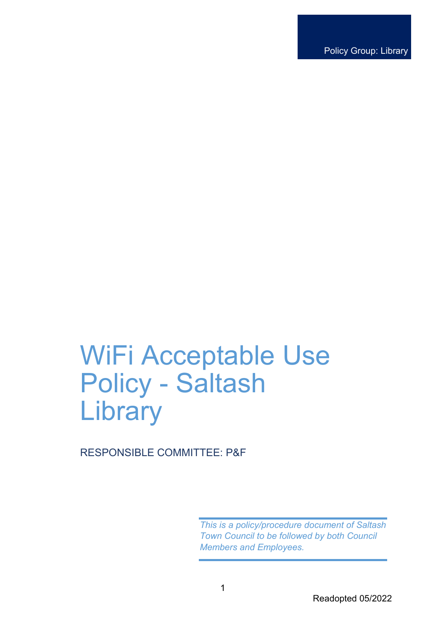Policy Group: Library

# WiFi Acceptable Use Policy - Saltash **Library**

RESPONSIBLE COMMITTEE: P&F

*This is a policy/procedure document of Saltash Town Council to be followed by both Council Members and Employees.*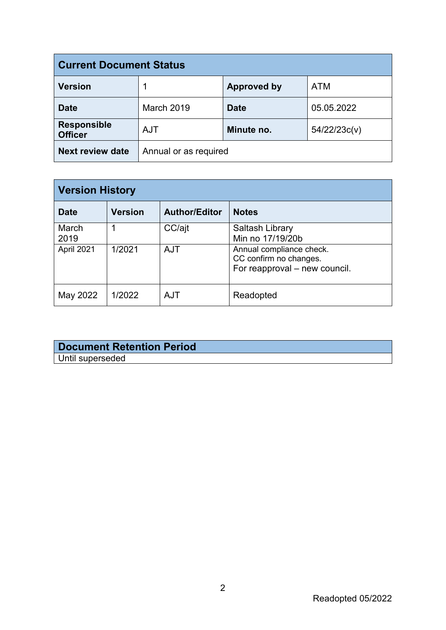| <b>Current Document Status</b>       |                       |                    |              |  |
|--------------------------------------|-----------------------|--------------------|--------------|--|
| <b>Version</b>                       |                       | <b>Approved by</b> | <b>ATM</b>   |  |
| <b>Date</b>                          | <b>March 2019</b>     | <b>Date</b>        | 05.05.2022   |  |
| <b>Responsible</b><br><b>Officer</b> | <b>AJT</b>            | Minute no.         | 54/22/23c(v) |  |
| <b>Next review date</b>              | Annual or as required |                    |              |  |

| <b>Version History</b> |                |                      |                                                                                     |  |
|------------------------|----------------|----------------------|-------------------------------------------------------------------------------------|--|
| <b>Date</b>            | <b>Version</b> | <b>Author/Editor</b> | <b>Notes</b>                                                                        |  |
| March<br>2019          |                | CC/ajt               | Saltash Library<br>Min no 17/19/20b                                                 |  |
| April 2021             | 1/2021         | <b>AJT</b>           | Annual compliance check.<br>CC confirm no changes.<br>For reapproval – new council. |  |
| May 2022               | 1/2022         | <b>AJT</b>           | Readopted                                                                           |  |

### **Document Retention Period** Until superseded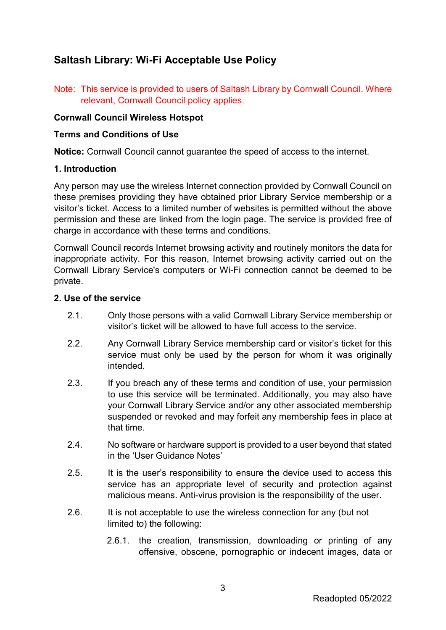## **Saltash Library: Wi-Fi Acceptable Use Policy**

Note: This service is provided to users of Saltash Library by Cornwall Council. Where relevant, Cornwall Council policy applies.

#### **Cornwall Council Wireless Hotspot**

#### **Terms and Conditions of Use**

**Notice:** Cornwall Council cannot guarantee the speed of access to the internet.

#### **1. Introduction**

Any person may use the wireless Internet connection provided by Cornwall Council on these premises providing they have obtained prior Library Service membership or a visitor's ticket. Access to a limited number of websites is permitted without the above permission and these are linked from the login page. The service is provided free of charge in accordance with these terms and conditions.

Cornwall Council records Internet browsing activity and routinely monitors the data for inappropriate activity. For this reason, Internet browsing activity carried out on the Cornwall Library Service's computers or Wi-Fi connection cannot be deemed to be private.

#### **2. Use of the service**

- 2.1. Only those persons with a valid Cornwall Library Service membership or visitor's ticket will be allowed to have full access to the service.
- 2.2. Any Cornwall Library Service membership card or visitor's ticket for this service must only be used by the person for whom it was originally intended.
- 2.3. If you breach any of these terms and condition of use, your permission to use this service will be terminated. Additionally, you may also have your Cornwall Library Service and/or any other associated membership suspended or revoked and may forfeit any membership fees in place at that time.
- 2.4. No software or hardware support is provided to a user beyond that stated in the 'User Guidance Notes'
- 2.5. It is the user's responsibility to ensure the device used to access this service has an appropriate level of security and protection against malicious means. Anti-virus provision is the responsibility of the user.
- 2.6. It is not acceptable to use the wireless connection for any (but not limited to) the following:
	- 2.6.1. the creation, transmission, downloading or printing of any offensive, obscene, pornographic or indecent images, data or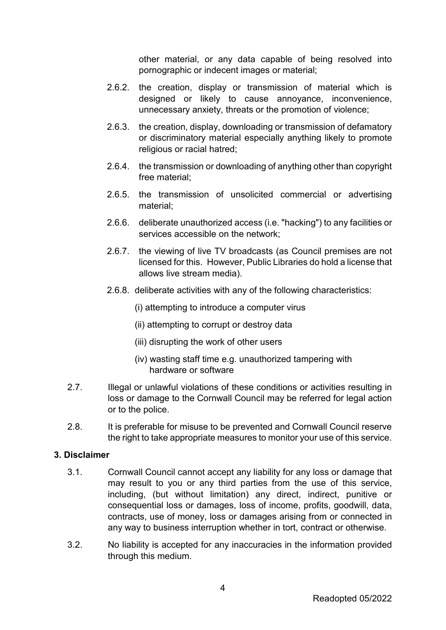other material, or any data capable of being resolved into pornographic or indecent images or material;

- 2.6.2. the creation, display or transmission of material which is designed or likely to cause annoyance, inconvenience, unnecessary anxiety, threats or the promotion of violence;
- 2.6.3. the creation, display, downloading or transmission of defamatory or discriminatory material especially anything likely to promote religious or racial hatred:
- 2.6.4. the transmission or downloading of anything other than copyright free material;
- 2.6.5. the transmission of unsolicited commercial or advertising material;
- 2.6.6. deliberate unauthorized access (i.e. "hacking") to any facilities or services accessible on the network;
- 2.6.7. the viewing of live TV broadcasts (as Council premises are not licensed for this. However, Public Libraries do hold a license that allows live stream media).
- 2.6.8. deliberate activities with any of the following characteristics:
	- (i) attempting to introduce a computer virus
	- (ii) attempting to corrupt or destroy data
	- (iii) disrupting the work of other users
	- (iv) wasting staff time e.g. unauthorized tampering with hardware or software
- 2.7. Illegal or unlawful violations of these conditions or activities resulting in loss or damage to the Cornwall Council may be referred for legal action or to the police.
- 2.8. It is preferable for misuse to be prevented and Cornwall Council reserve the right to take appropriate measures to monitor your use of this service.

#### **3. Disclaimer**

- 3.1. Cornwall Council cannot accept any liability for any loss or damage that may result to you or any third parties from the use of this service, including, (but without limitation) any direct, indirect, punitive or consequential loss or damages, loss of income, profits, goodwill, data, contracts, use of money, loss or damages arising from or connected in any way to business interruption whether in tort, contract or otherwise.
- 3.2. No liability is accepted for any inaccuracies in the information provided through this medium.